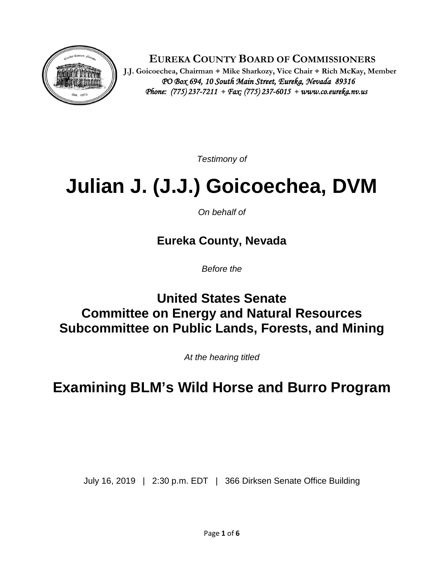

 **EUREKA COUNTY BOARD OF COMMISSIONERS**

 **J.J. Goicoechea, Chairman** · **Mike Sharkozy, Vice Chair** · **Rich McKay, Member** *PO Box 694, 10 South Main Street, Eureka, Nevada 89316 Phone: (775) 237-7211* · *Fax: (775) 237-6015* ·*www.co.eureka.nv.us* 

*Testimony of*

## **Julian J. (J.J.) Goicoechea, DVM**

*On behalf of*

**Eureka County, Nevada**

*Before the*

## **United States Senate Committee on Energy and Natural Resources Subcommittee on Public Lands, Forests, and Mining**

*At the hearing titled*

**Examining BLM's Wild Horse and Burro Program**

July 16, 2019 | 2:30 p.m. EDT | 366 Dirksen Senate Office Building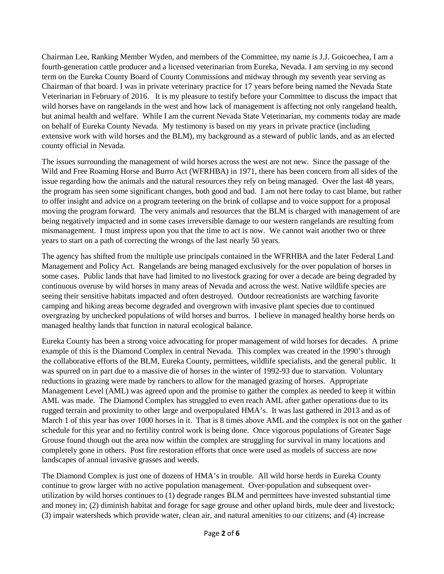Chairman Lee, Ranking Member Wyden, and members of the Committee, my name is J.J. Goicoechea, I am a fourth-generation cattle producer and a licensed veterinarian from Eureka, Nevada. I am serving in my second term on the Eureka County Board of County Commissions and midway through my seventh year serving as Chairman of that board. I was in private veterinary practice for 17 years before being named the Nevada State Veterinarian in February of 2016. It is my pleasure to testify before your Committee to discuss the impact that wild horses have on rangelands in the west and how lack of management is affecting not only rangeland health, but animal health and welfare. While I am the current Nevada State Veterinarian, my comments today are made on behalf of Eureka County Nevada. My testimony is based on my years in private practice (including extensive work with wild horses and the BLM), my background as a steward of public lands, and as an elected county official in Nevada.

The issues surrounding the management of wild horses across the west are not new. Since the passage of the Wild and Free Roaming Horse and Burro Act (WFRHBA) in 1971, there has been concern from all sides of the issue regarding how the animals and the natural resources they rely on being managed. Over the last 48 years, the program has seen some significant changes, both good and bad. I am not here today to cast blame, but rather to offer insight and advice on a program teetering on the brink of collapse and to voice support for a proposal moving the program forward. The very animals and resources that the BLM is charged with management of are being negatively impacted and in some cases irreversible damage to our western rangelands are resulting from mismanagement. I must impress upon you that the time to act is now. We cannot wait another two or three years to start on a path of correcting the wrongs of the last nearly 50 years.

The agency has shifted from the multiple use principals contained in the WFRHBA and the later Federal Land Management and Policy Act. Rangelands are being managed exclusively for the over population of horses in some cases. Public lands that have had limited to no livestock grazing for over a decade are being degraded by continuous overuse by wild horses in many areas of Nevada and across the west. Native wildlife species are seeing their sensitive habitats impacted and often destroyed. Outdoor recreationists are watching favorite camping and hiking areas become degraded and overgrown with invasive plant species due to continued overgrazing by unchecked populations of wild horses and burros. I believe in managed healthy horse herds on managed healthy lands that function in natural ecological balance.

Eureka County has been a strong voice advocating for proper management of wild horses for decades. A prime example of this is the Diamond Complex in central Nevada. This complex was created in the 1990's through the collaborative efforts of the BLM, Eureka County, permittees, wildlife specialists, and the general public. It was spurred on in part due to a massive die of horses in the winter of 1992-93 due to starvation. Voluntary reductions in grazing were made by ranchers to allow for the managed grazing of horses. Appropriate Management Level (AML) was agreed upon and the promise to gather the complex as needed to keep it within AML was made. The Diamond Complex has struggled to even reach AML after gather operations due to its rugged terrain and proximity to other large and overpopulated HMA's. It was last gathered in 2013 and as of March 1 of this year has over 1000 horses in it. That is 8 times above AML and the complex is not on the gather schedule for this year and no fertility control work is being done. Once vigorous populations of Greater Sage Grouse found though out the area now within the complex are struggling for survival in many locations and completely gone in others. Post fire restoration efforts that once were used as models of success are now landscapes of annual invasive grasses and weeds.

The Diamond Complex is just one of dozens of HMA's in trouble. All wild horse herds in Eureka County continue to grow larger with no active population management. Over-population and subsequent overutilization by wild horses continues to (1) degrade ranges BLM and permittees have invested substantial time and money in; (2) diminish habitat and forage for sage grouse and other upland birds, mule deer and livestock; (3) impair watersheds which provide water, clean air, and natural amenities to our citizens; and (4) increase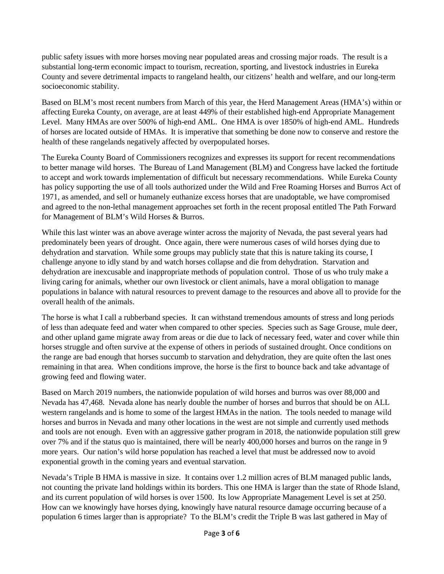public safety issues with more horses moving near populated areas and crossing major roads. The result is a substantial long-term economic impact to tourism, recreation, sporting, and livestock industries in Eureka County and severe detrimental impacts to rangeland health, our citizens' health and welfare, and our long-term socioeconomic stability.

Based on BLM's most recent numbers from March of this year, the Herd Management Areas (HMA's) within or affecting Eureka County, on average, are at least 449% of their established high-end Appropriate Management Level. Many HMAs are over 500% of high-end AML. One HMA is over 1850% of high-end AML. Hundreds of horses are located outside of HMAs. It is imperative that something be done now to conserve and restore the health of these rangelands negatively affected by overpopulated horses.

The Eureka County Board of Commissioners recognizes and expresses its support for recent recommendations to better manage wild horses. The Bureau of Land Management (BLM) and Congress have lacked the fortitude to accept and work towards implementation of difficult but necessary recommendations. While Eureka County has policy supporting the use of all tools authorized under the Wild and Free Roaming Horses and Burros Act of 1971, as amended, and sell or humanely euthanize excess horses that are unadoptable, we have compromised and agreed to the non-lethal management approaches set forth in the recent proposal entitled The Path Forward for Management of BLM's Wild Horses & Burros.

While this last winter was an above average winter across the majority of Nevada, the past several years had predominately been years of drought. Once again, there were numerous cases of wild horses dying due to dehydration and starvation. While some groups may publicly state that this is nature taking its course, I challenge anyone to idly stand by and watch horses collapse and die from dehydration. Starvation and dehydration are inexcusable and inappropriate methods of population control. Those of us who truly make a living caring for animals, whether our own livestock or client animals, have a moral obligation to manage populations in balance with natural resources to prevent damage to the resources and above all to provide for the overall health of the animals.

The horse is what I call a rubberband species. It can withstand tremendous amounts of stress and long periods of less than adequate feed and water when compared to other species. Species such as Sage Grouse, mule deer, and other upland game migrate away from areas or die due to lack of necessary feed, water and cover while thin horses struggle and often survive at the expense of others in periods of sustained drought. Once conditions on the range are bad enough that horses succumb to starvation and dehydration, they are quite often the last ones remaining in that area. When conditions improve, the horse is the first to bounce back and take advantage of growing feed and flowing water.

Based on March 2019 numbers, the nationwide population of wild horses and burros was over 88,000 and Nevada has 47,468. Nevada alone has nearly double the number of horses and burros that should be on ALL western rangelands and is home to some of the largest HMAs in the nation. The tools needed to manage wild horses and burros in Nevada and many other locations in the west are not simple and currently used methods and tools are not enough. Even with an aggressive gather program in 2018, the nationwide population still grew over 7% and if the status quo is maintained, there will be nearly 400,000 horses and burros on the range in 9 more years. Our nation's wild horse population has reached a level that must be addressed now to avoid exponential growth in the coming years and eventual starvation.

Nevada's Triple B HMA is massive in size. It contains over 1.2 million acres of BLM managed public lands, not counting the private land holdings within its borders. This one HMA is larger than the state of Rhode Island, and its current population of wild horses is over 1500. Its low Appropriate Management Level is set at 250. How can we knowingly have horses dying, knowingly have natural resource damage occurring because of a population 6 times larger than is appropriate? To the BLM's credit the Triple B was last gathered in May of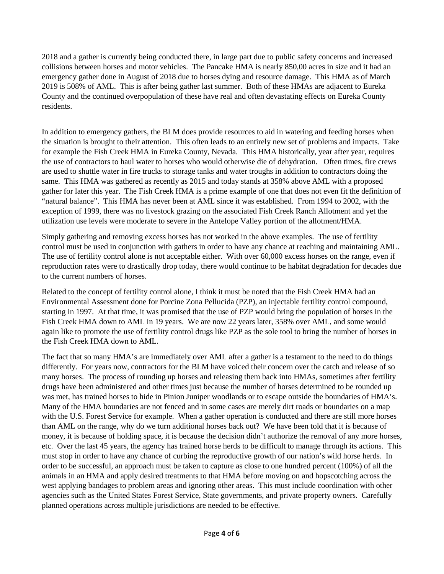2018 and a gather is currently being conducted there, in large part due to public safety concerns and increased collisions between horses and motor vehicles. The Pancake HMA is nearly 850,00 acres in size and it had an emergency gather done in August of 2018 due to horses dying and resource damage. This HMA as of March 2019 is 508% of AML. This is after being gather last summer. Both of these HMAs are adjacent to Eureka County and the continued overpopulation of these have real and often devastating effects on Eureka County residents.

In addition to emergency gathers, the BLM does provide resources to aid in watering and feeding horses when the situation is brought to their attention. This often leads to an entirely new set of problems and impacts. Take for example the Fish Creek HMA in Eureka County, Nevada. This HMA historically, year after year, requires the use of contractors to haul water to horses who would otherwise die of dehydration. Often times, fire crews are used to shuttle water in fire trucks to storage tanks and water troughs in addition to contractors doing the same. This HMA was gathered as recently as 2015 and today stands at 358% above AML with a proposed gather for later this year. The Fish Creek HMA is a prime example of one that does not even fit the definition of "natural balance". This HMA has never been at AML since it was established. From 1994 to 2002, with the exception of 1999, there was no livestock grazing on the associated Fish Creek Ranch Allotment and yet the utilization use levels were moderate to severe in the Antelope Valley portion of the allotment/HMA.

Simply gathering and removing excess horses has not worked in the above examples. The use of fertility control must be used in conjunction with gathers in order to have any chance at reaching and maintaining AML. The use of fertility control alone is not acceptable either. With over 60,000 excess horses on the range, even if reproduction rates were to drastically drop today, there would continue to be habitat degradation for decades due to the current numbers of horses.

Related to the concept of fertility control alone, I think it must be noted that the Fish Creek HMA had an Environmental Assessment done for Porcine Zona Pellucida (PZP), an injectable fertility control compound, starting in 1997. At that time, it was promised that the use of PZP would bring the population of horses in the Fish Creek HMA down to AML in 19 years. We are now 22 years later, 358% over AML, and some would again like to promote the use of fertility control drugs like PZP as the sole tool to bring the number of horses in the Fish Creek HMA down to AML.

The fact that so many HMA's are immediately over AML after a gather is a testament to the need to do things differently. For years now, contractors for the BLM have voiced their concern over the catch and release of so many horses. The process of rounding up horses and releasing them back into HMAs, sometimes after fertility drugs have been administered and other times just because the number of horses determined to be rounded up was met, has trained horses to hide in Pinion Juniper woodlands or to escape outside the boundaries of HMA's. Many of the HMA boundaries are not fenced and in some cases are merely dirt roads or boundaries on a map with the U.S. Forest Service for example. When a gather operation is conducted and there are still more horses than AML on the range, why do we turn additional horses back out? We have been told that it is because of money, it is because of holding space, it is because the decision didn't authorize the removal of any more horses, etc. Over the last 45 years, the agency has trained horse herds to be difficult to manage through its actions. This must stop in order to have any chance of curbing the reproductive growth of our nation's wild horse herds. In order to be successful, an approach must be taken to capture as close to one hundred percent (100%) of all the animals in an HMA and apply desired treatments to that HMA before moving on and hopscotching across the west applying bandages to problem areas and ignoring other areas. This must include coordination with other agencies such as the United States Forest Service, State governments, and private property owners. Carefully planned operations across multiple jurisdictions are needed to be effective.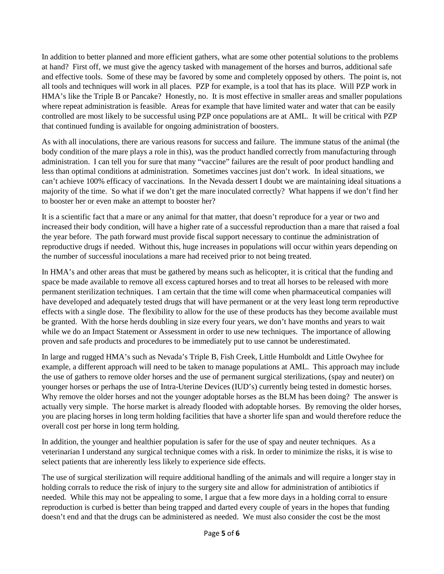In addition to better planned and more efficient gathers, what are some other potential solutions to the problems at hand? First off, we must give the agency tasked with management of the horses and burros, additional safe and effective tools. Some of these may be favored by some and completely opposed by others. The point is, not all tools and techniques will work in all places. PZP for example, is a tool that has its place. Will PZP work in HMA's like the Triple B or Pancake? Honestly, no. It is most effective in smaller areas and smaller populations where repeat administration is feasible. Areas for example that have limited water and water that can be easily controlled are most likely to be successful using PZP once populations are at AML. It will be critical with PZP that continued funding is available for ongoing administration of boosters.

As with all inoculations, there are various reasons for success and failure. The immune status of the animal (the body condition of the mare plays a role in this), was the product handled correctly from manufacturing through administration. I can tell you for sure that many "vaccine" failures are the result of poor product handling and less than optimal conditions at administration. Sometimes vaccines just don't work. In ideal situations, we can't achieve 100% efficacy of vaccinations. In the Nevada dessert I doubt we are maintaining ideal situations a majority of the time. So what if we don't get the mare inoculated correctly? What happens if we don't find her to booster her or even make an attempt to booster her?

It is a scientific fact that a mare or any animal for that matter, that doesn't reproduce for a year or two and increased their body condition, will have a higher rate of a successful reproduction than a mare that raised a foal the year before. The path forward must provide fiscal support necessary to continue the administration of reproductive drugs if needed. Without this, huge increases in populations will occur within years depending on the number of successful inoculations a mare had received prior to not being treated.

In HMA's and other areas that must be gathered by means such as helicopter, it is critical that the funding and space be made available to remove all excess captured horses and to treat all horses to be released with more permanent sterilization techniques. I am certain that the time will come when pharmaceutical companies will have developed and adequately tested drugs that will have permanent or at the very least long term reproductive effects with a single dose. The flexibility to allow for the use of these products has they become available must be granted. With the horse herds doubling in size every four years, we don't have months and years to wait while we do an Impact Statement or Assessment in order to use new techniques. The importance of allowing proven and safe products and procedures to be immediately put to use cannot be underestimated.

In large and rugged HMA's such as Nevada's Triple B, Fish Creek, Little Humboldt and Little Owyhee for example, a different approach will need to be taken to manage populations at AML. This approach may include the use of gathers to remove older horses and the use of permanent surgical sterilizations, (spay and neuter) on younger horses or perhaps the use of Intra-Uterine Devices (IUD's) currently being tested in domestic horses. Why remove the older horses and not the younger adoptable horses as the BLM has been doing? The answer is actually very simple. The horse market is already flooded with adoptable horses. By removing the older horses, you are placing horses in long term holding facilities that have a shorter life span and would therefore reduce the overall cost per horse in long term holding.

In addition, the younger and healthier population is safer for the use of spay and neuter techniques. As a veterinarian I understand any surgical technique comes with a risk. In order to minimize the risks, it is wise to select patients that are inherently less likely to experience side effects.

The use of surgical sterilization will require additional handling of the animals and will require a longer stay in holding corrals to reduce the risk of injury to the surgery site and allow for administration of antibiotics if needed. While this may not be appealing to some, I argue that a few more days in a holding corral to ensure reproduction is curbed is better than being trapped and darted every couple of years in the hopes that funding doesn't end and that the drugs can be administered as needed. We must also consider the cost be the most